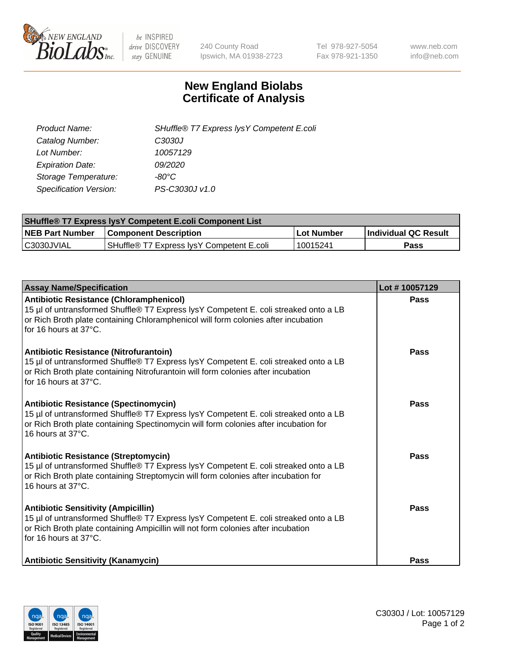

 $be$  INSPIRED drive DISCOVERY stay GENUINE

240 County Road Ipswich, MA 01938-2723 Tel 978-927-5054 Fax 978-921-1350 www.neb.com info@neb.com

## **New England Biolabs Certificate of Analysis**

| SHuffle® T7 Express lysY Competent E.coli |
|-------------------------------------------|
| C3030J                                    |
| 10057129                                  |
| <i>09/2020</i>                            |
| -80°C                                     |
| PS-C3030J v1.0                            |
|                                           |

| <b>SHuffle® T7 Express lysY Competent E.coli Component List</b> |                                           |                   |                             |  |
|-----------------------------------------------------------------|-------------------------------------------|-------------------|-----------------------------|--|
| <b>NEB Part Number</b>                                          | <b>Component Description</b>              | <b>Lot Number</b> | <b>Individual QC Result</b> |  |
| C3030JVIAL                                                      | SHuffle® T7 Express IysY Competent E.coli | 10015241          | Pass                        |  |

| <b>Assay Name/Specification</b>                                                                                                                                                                                                                       | Lot #10057129 |
|-------------------------------------------------------------------------------------------------------------------------------------------------------------------------------------------------------------------------------------------------------|---------------|
| <b>Antibiotic Resistance (Chloramphenicol)</b><br>15 µl of untransformed Shuffle® T7 Express lysY Competent E. coli streaked onto a LB<br>or Rich Broth plate containing Chloramphenicol will form colonies after incubation<br>for 16 hours at 37°C. | Pass          |
| Antibiotic Resistance (Nitrofurantoin)<br>15 µl of untransformed Shuffle® T7 Express lysY Competent E. coli streaked onto a LB<br>or Rich Broth plate containing Nitrofurantoin will form colonies after incubation<br>for 16 hours at 37°C.          | Pass          |
| <b>Antibiotic Resistance (Spectinomycin)</b><br>15 µl of untransformed Shuffle® T7 Express lysY Competent E. coli streaked onto a LB<br>or Rich Broth plate containing Spectinomycin will form colonies after incubation for<br>16 hours at 37°C.     | <b>Pass</b>   |
| Antibiotic Resistance (Streptomycin)<br>15 µl of untransformed Shuffle® T7 Express lysY Competent E. coli streaked onto a LB<br>or Rich Broth plate containing Streptomycin will form colonies after incubation for<br>16 hours at 37°C.              | Pass          |
| <b>Antibiotic Sensitivity (Ampicillin)</b><br>15 µl of untransformed Shuffle® T7 Express lysY Competent E. coli streaked onto a LB<br>or Rich Broth plate containing Ampicillin will not form colonies after incubation<br>for 16 hours at 37°C.      | <b>Pass</b>   |
| <b>Antibiotic Sensitivity (Kanamycin)</b>                                                                                                                                                                                                             | Pass          |